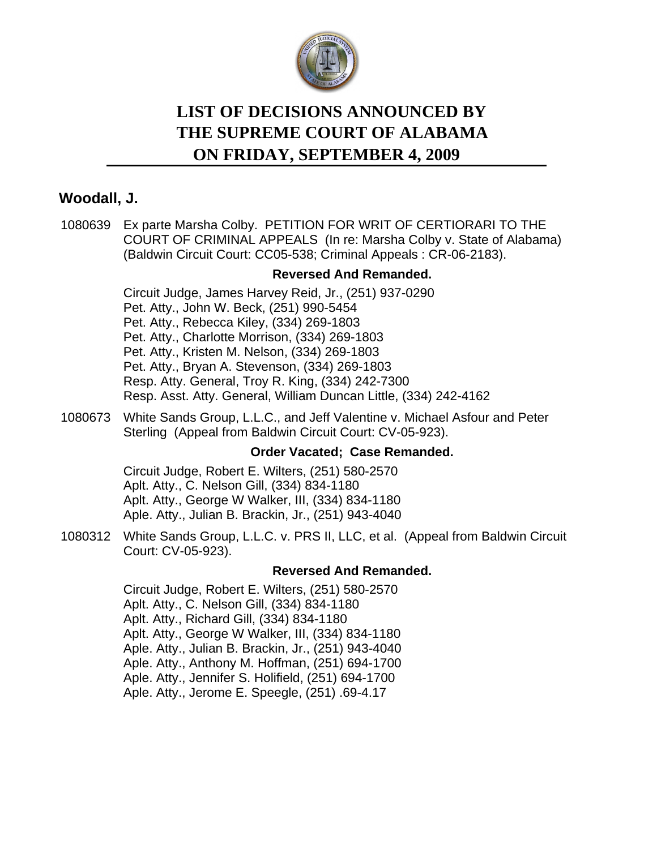

# **LIST OF DECISIONS ANNOUNCED BY ON FRIDAY, SEPTEMBER 4, 2009 THE SUPREME COURT OF ALABAMA**

# **Woodall, J.**

[1080639](http://efile.judicial.state.al.us/displaydocs.cfm?no=178608&event=2QM0QPF6S) Ex parte Marsha Colby. PETITION FOR WRIT OF CERTIORARI TO THE COURT OF CRIMINAL APPEALS (In re: Marsha Colby v. State of Alabama) (Baldwin Circuit Court: CC05-538; Criminal Appeals : CR-06-2183).

## **[Reversed And Remanded.](http://efile.judicial.state.al.us/displaydocs.cfm?no=178608&event=2QM0QPF6S)**

Circuit Judge, James Harvey Reid, Jr., (251) 937-0290 Pet. Atty., John W. Beck, (251) 990-5454 Pet. Atty., Rebecca Kiley, (334) 269-1803 Pet. Atty., Charlotte Morrison, (334) 269-1803 Pet. Atty., Kristen M. Nelson, (334) 269-1803 Pet. Atty., Bryan A. Stevenson, (334) 269-1803 Resp. Atty. General, Troy R. King, (334) 242-7300 Resp. Asst. Atty. General, William Duncan Little, (334) 242-4162

1080673 White Sands Group, L.L.C., and Jeff Valentine v. Michael Asfour and Peter Sterling (Appeal from Baldwin Circuit Court: CV-05-923).

#### **Order Vacated; Case Remanded.**

Circuit Judge, Robert E. Wilters, (251) 580-2570 Aplt. Atty., C. Nelson Gill, (334) 834-1180 Aplt. Atty., George W Walker, III, (334) 834-1180 Aple. Atty., Julian B. Brackin, Jr., (251) 943-4040

[1080312](http://efile.judicial.state.al.us/displaydocs.cfm?no=178606&event=2QM0QPEWV) White Sands Group, L.L.C. v. PRS II, LLC, et al. (Appeal from Baldwin Circuit Court: CV-05-923).

#### **[Reversed And Remanded.](http://efile.judicial.state.al.us/displaydocs.cfm?no=178606&event=2QM0QPEWV)**

Circuit Judge, Robert E. Wilters, (251) 580-2570 Aplt. Atty., C. Nelson Gill, (334) 834-1180 Aplt. Atty., Richard Gill, (334) 834-1180 Aplt. Atty., George W Walker, III, (334) 834-1180 Aple. Atty., Julian B. Brackin, Jr., (251) 943-4040 Aple. Atty., Anthony M. Hoffman, (251) 694-1700 Aple. Atty., Jennifer S. Holifield, (251) 694-1700 Aple. Atty., Jerome E. Speegle, (251) .69-4.17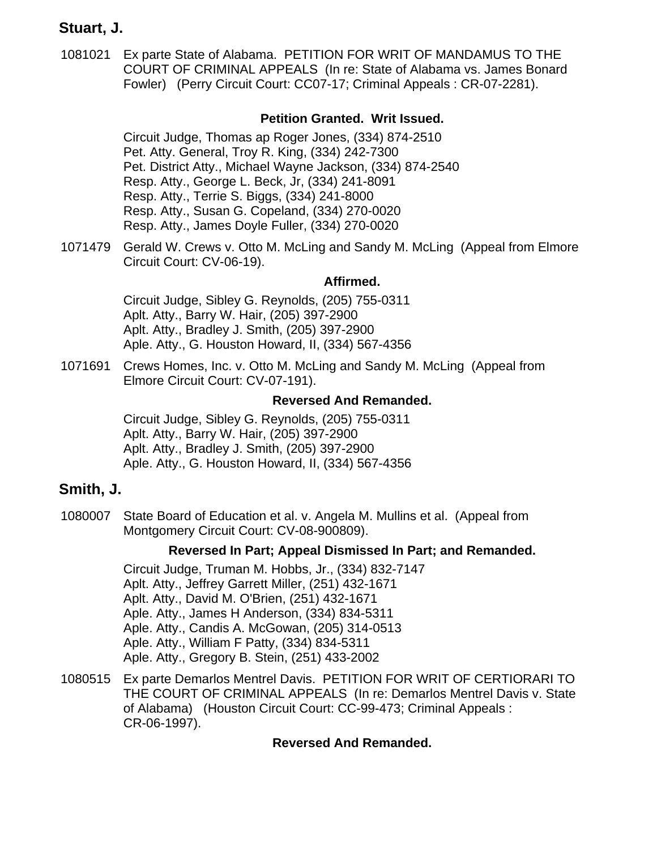# **Stuart, J.**

[1081021](http://efile.judicial.state.al.us/displaydocs.cfm?no=178609&event=2QM0QPFA8) Ex parte State of Alabama. PETITION FOR WRIT OF MANDAMUS TO THE COURT OF CRIMINAL APPEALS (In re: State of Alabama vs. James Bonard Fowler) (Perry Circuit Court: CC07-17; Criminal Appeals : CR-07-2281).

## **[Petition Granted. Writ Issued.](http://efile.judicial.state.al.us/displaydocs.cfm?no=178609&event=2QM0QPFA8)**

Circuit Judge, Thomas ap Roger Jones, (334) 874-2510 Pet. Atty. General, Troy R. King, (334) 242-7300 Pet. District Atty., Michael Wayne Jackson, (334) 874-2540 Resp. Atty., George L. Beck, Jr, (334) 241-8091 Resp. Atty., Terrie S. Biggs, (334) 241-8000 Resp. Atty., Susan G. Copeland, (334) 270-0020 Resp. Atty., James Doyle Fuller, (334) 270-0020

[1071479](http://efile.judicial.state.al.us/displaydocs.cfm?no=178599&event=2QM0QPE7E) Gerald W. Crews v. Otto M. McLing and Sandy M. McLing (Appeal from Elmore Circuit Court: CV-06-19).

#### **[Affirmed.](http://efile.judicial.state.al.us/displaydocs.cfm?no=178599&event=2QM0QPE7E)**

Circuit Judge, Sibley G. Reynolds, (205) 755-0311 Aplt. Atty., Barry W. Hair, (205) 397-2900 Aplt. Atty., Bradley J. Smith, (205) 397-2900 Aple. Atty., G. Houston Howard, II, (334) 567-4356

[1071691](http://efile.judicial.state.al.us/displaydocs.cfm?no=178599&event=2QM0QPE7E) Crews Homes, Inc. v. Otto M. McLing and Sandy M. McLing (Appeal from Elmore Circuit Court: CV-07-191).

#### **[Reversed And Remanded.](http://efile.judicial.state.al.us/displaydocs.cfm?no=178599&event=2QM0QPE7E)**

Circuit Judge, Sibley G. Reynolds, (205) 755-0311 Aplt. Atty., Barry W. Hair, (205) 397-2900 Aplt. Atty., Bradley J. Smith, (205) 397-2900 Aple. Atty., G. Houston Howard, II, (334) 567-4356

## **Smith, J.**

[1080007](http://efile.judicial.state.al.us/displaydocs.cfm?no=178604&event=2QM0QPEPV) State Board of Education et al. v. Angela M. Mullins et al. (Appeal from Montgomery Circuit Court: CV-08-900809).

#### **[Reversed In Part; Appeal Dismissed In Part; and Remanded.](http://efile.judicial.state.al.us/displaydocs.cfm?no=178604&event=2QM0QPEPV)**

Circuit Judge, Truman M. Hobbs, Jr., (334) 832-7147 Aplt. Atty., Jeffrey Garrett Miller, (251) 432-1671 Aplt. Atty., David M. O'Brien, (251) 432-1671 Aple. Atty., James H Anderson, (334) 834-5311 Aple. Atty., Candis A. McGowan, (205) 314-0513 Aple. Atty., William F Patty, (334) 834-5311 Aple. Atty., Gregory B. Stein, (251) 433-2002

[1080515](http://efile.judicial.state.al.us/displaydocs.cfm?no=178607&event=2QM0QPF15) Ex parte Demarlos Mentrel Davis. PETITION FOR WRIT OF CERTIORARI TO THE COURT OF CRIMINAL APPEALS (In re: Demarlos Mentrel Davis v. State of Alabama) (Houston Circuit Court: CC-99-473; Criminal Appeals : CR-06-1997).

#### **[Reversed And Remanded.](http://efile.judicial.state.al.us/displaydocs.cfm?no=178607&event=2QM0QPF15)**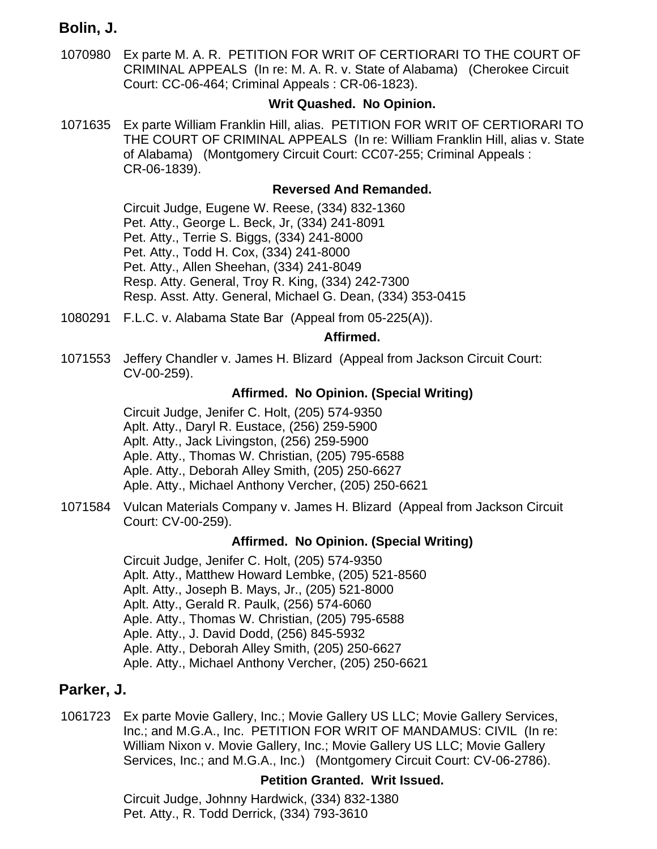# **Bolin, J.**

[1070980](http://efile.judicial.state.al.us/displaydocs.cfm?no=178584&event=2QM0PYLR8) Ex parte M. A. R. PETITION FOR WRIT OF CERTIORARI TO THE COURT OF CRIMINAL APPEALS (In re: M. A. R. v. State of Alabama) (Cherokee Circuit Court: CC-06-464; Criminal Appeals : CR-06-1823).

## **[Writ Quashed. No Opinion.](http://efile.judicial.state.al.us/displaydocs.cfm?no=178584&event=2QM0PYLR8)**

[1071635](http://efile.judicial.state.al.us/displaydocs.cfm?no=178603&event=2QM0QPEK8) Ex parte William Franklin Hill, alias. PETITION FOR WRIT OF CERTIORARI TO THE COURT OF CRIMINAL APPEALS (In re: William Franklin Hill, alias v. State of Alabama) (Montgomery Circuit Court: CC07-255; Criminal Appeals : CR-06-1839).

## **[Reversed And Remanded.](http://efile.judicial.state.al.us/displaydocs.cfm?no=178603&event=2QM0QPEK8)**

Circuit Judge, Eugene W. Reese, (334) 832-1360 Pet. Atty., George L. Beck, Jr, (334) 241-8091 Pet. Atty., Terrie S. Biggs, (334) 241-8000 Pet. Atty., Todd H. Cox, (334) 241-8000 Pet. Atty., Allen Sheehan, (334) 241-8049 Resp. Atty. General, Troy R. King, (334) 242-7300 Resp. Asst. Atty. General, Michael G. Dean, (334) 353-0415

[1080291](http://efile.judicial.state.al.us/displaydocs.cfm?no=178605&event=2QM0QPETE) F.L.C. v. Alabama State Bar (Appeal from 05-225(A)).

#### **[Affirmed.](http://efile.judicial.state.al.us/displaydocs.cfm?no=178605&event=2QM0QPETE)**

[1071553](http://efile.judicial.state.al.us/displaydocs.cfm?no=178602&event=2QM0QPEH5) Jeffery Chandler v. James H. Blizard (Appeal from Jackson Circuit Court: CV-00-259).

## **[Affirmed. No Opinion. \(Special Writing\)](http://efile.judicial.state.al.us/displaydocs.cfm?no=178602&event=2QM0QPEH5)**

Circuit Judge, Jenifer C. Holt, (205) 574-9350 Aplt. Atty., Daryl R. Eustace, (256) 259-5900 Aplt. Atty., Jack Livingston, (256) 259-5900 Aple. Atty., Thomas W. Christian, (205) 795-6588 Aple. Atty., Deborah Alley Smith, (205) 250-6627 Aple. Atty., Michael Anthony Vercher, (205) 250-6621

[1071584](http://efile.judicial.state.al.us/displaydocs.cfm?no=178602&event=2QM0QPEH5) Vulcan Materials Company v. James H. Blizard (Appeal from Jackson Circuit Court: CV-00-259).

#### **[Affirmed. No Opinion. \(Special Writing\)](http://efile.judicial.state.al.us/displaydocs.cfm?no=178602&event=2QM0QPEH5)**

Circuit Judge, Jenifer C. Holt, (205) 574-9350 Aplt. Atty., Matthew Howard Lembke, (205) 521-8560 Aplt. Atty., Joseph B. Mays, Jr., (205) 521-8000 Aplt. Atty., Gerald R. Paulk, (256) 574-6060 Aple. Atty., Thomas W. Christian, (205) 795-6588 Aple. Atty., J. David Dodd, (256) 845-5932 Aple. Atty., Deborah Alley Smith, (205) 250-6627 Aple. Atty., Michael Anthony Vercher, (205) 250-6621

## **Parker, J.**

[1061723](http://efile.judicial.state.al.us/displaydocs.cfm?no=178597&event=2QM0QPDYH) Ex parte Movie Gallery, Inc.; Movie Gallery US LLC; Movie Gallery Services, Inc.; and M.G.A., Inc. PETITION FOR WRIT OF MANDAMUS: CIVIL (In re: William Nixon v. Movie Gallery, Inc.; Movie Gallery US LLC; Movie Gallery Services, Inc.; and M.G.A., Inc.) (Montgomery Circuit Court: CV-06-2786).

## **[Petition Granted. Writ Issued.](http://efile.judicial.state.al.us/displaydocs.cfm?no=178597&event=2QM0QPDYH)**

Circuit Judge, Johnny Hardwick, (334) 832-1380 Pet. Atty., R. Todd Derrick, (334) 793-3610